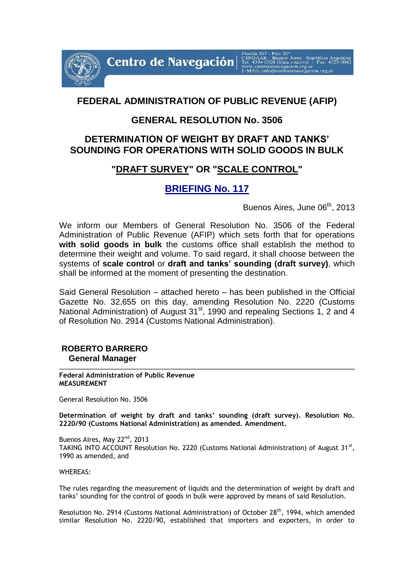Centro de Navegación

# **FEDERAL ADMINISTRATION OF PUBLIC REVENUE (AFIP)**

#### **GENERAL RESOLUTION No. 3506**

#### **DETERMINATION OF WEIGHT BY DRAFT AND TANKS' SOUNDING FOR OPERATIONS WITH SOLID GOODS IN BULK**

## **"DRAFT SURVEY" OR "SCALE CONTROL"**

## **BRIEFING No. 117**

Buenos Aires, June 06<sup>th</sup>, 2013

We inform our Members of General Resolution No. 3506 of the Federal Administration of Public Revenue (AFIP) which sets forth that for operations **with solid goods in bulk** the customs office shall establish the method to determine their weight and volume. To said regard, it shall choose between the systems of **scale control** or **draft and tanks' sounding (draft survey)**, which shall be informed at the moment of presenting the destination.

Said General Resolution – attached hereto – has been published in the Official Gazette No. 32,655 on this day, amending Resolution No. 2220 (Customs National Administration) of August 31<sup>st</sup>, 1990 and repealing Sections 1, 2 and 4 of Resolution No. 2914 (Customs National Administration).

#### **ROBERTO BARRERO General Manager**

**Federal Administration of Public Revenue MEASUREMENT**

General Resolution No. 3506

**Determination of weight by draft and tanks' sounding (draft survey). Resolution No. 2220/90 (Customs National Administration) as amended. Amendment.**

Buenos Aires, May 22<sup>nd</sup>, 2013 TAKING INTO ACCOUNT Resolution No. 2220 (Customs National Administration) of August 31<sup>st</sup>, 1990 as amended, and

WHEREAS:

The rules regarding the measurement of liquids and the determination of weight by draft and tanks' sounding for the control of goods in bulk were approved by means of said Resolution.

Resolution No. 2914 (Customs National Administration) of October 28<sup>th</sup>, 1994, which amended similar Resolution No. 2220/90, established that importers and exporters, in order to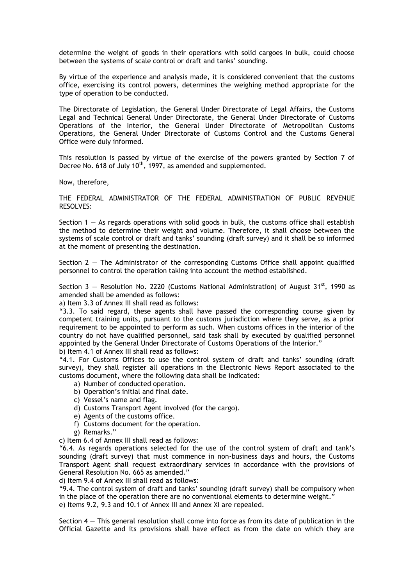determine the weight of goods in their operations with solid cargoes in bulk, could choose between the systems of scale control or draft and tanks' sounding.

By virtue of the experience and analysis made, it is considered convenient that the customs office, exercising its control powers, determines the weighing method appropriate for the type of operation to be conducted.

The Directorate of Legislation, the General Under Directorate of Legal Affairs, the Customs Legal and Technical General Under Directorate, the General Under Directorate of Customs Operations of the Interior, the General Under Directorate of Metropolitan Customs Operations, the General Under Directorate of Customs Control and the Customs General Office were duly informed.

This resolution is passed by virtue of the exercise of the powers granted by Section 7 of Decree No. 618 of July  $10<sup>th</sup>$ , 1997, as amended and supplemented.

Now, therefore,

THE FEDERAL ADMINISTRATOR OF THE FEDERAL ADMINISTRATION OF PUBLIC REVENUE RESOLVES:

Section  $1 - As$  regards operations with solid goods in bulk, the customs office shall establish the method to determine their weight and volume. Therefore, it shall choose between the systems of scale control or draft and tanks' sounding (draft survey) and it shall be so informed at the moment of presenting the destination.

Section  $2 -$  The Administrator of the corresponding Customs Office shall appoint qualified personnel to control the operation taking into account the method established.

Section 3 – Resolution No. 2220 (Customs National Administration) of August 31<sup>st</sup>, 1990 as amended shall be amended as follows:

a) Item 3.3 of Annex III shall read as follows:

"3.3. To said regard, these agents shall have passed the corresponding course given by competent training units, pursuant to the customs jurisdiction where they serve, as a prior requirement to be appointed to perform as such. When customs offices in the interior of the country do not have qualified personnel, said task shall by executed by qualified personnel appointed by the General Under Directorate of Customs Operations of the Interior."

b) Item 4.1 of Annex III shall read as follows:

"4.1. For Customs Offices to use the control system of draft and tanks' sounding (draft survey), they shall register all operations in the Electronic News Report associated to the customs document, where the following data shall be indicated:

- a) Number of conducted operation.
- b) Operation's initial and final date.
- c) Vessel's name and flag.
- d) Customs Transport Agent involved (for the cargo).
- e) Agents of the customs office.
- f) Customs document for the operation.
- g) Remarks."

c) Item 6.4 of Annex III shall read as follows:

"6.4. As regards operations selected for the use of the control system of draft and tank's sounding (draft survey) that must commence in non-business days and hours, the Customs Transport Agent shall request extraordinary services in accordance with the provisions of General Resolution No. 665 as amended."

d) Item 9.4 of Annex III shall read as follows:

"9.4. The control system of draft and tanks' sounding (draft survey) shall be compulsory when in the place of the operation there are no conventional elements to determine weight." e) Items 9.2, 9.3 and 10.1 of Annex III and Annex XI are repealed.

Section  $4 -$  This general resolution shall come into force as from its date of publication in the Official Gazette and its provisions shall have effect as from the date on which they are